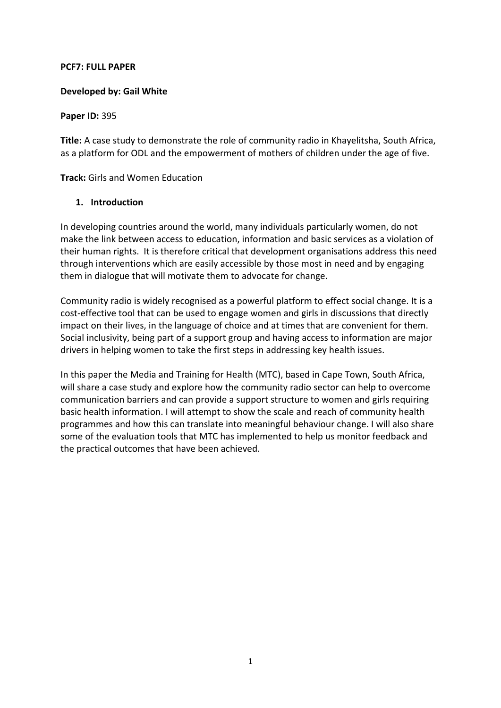#### **PCF7: FULL PAPER**

# **Developed by: Gail White**

#### **Paper ID:** 395

**Title:** A case study to demonstrate the role of community radio in Khayelitsha, South Africa, as a platform for ODL and the empowerment of mothers of children under the age of five.

**Track:** Girls and Women Education

# **1. Introduction**

In developing countries around the world, many individuals particularly women, do not make the link between access to education, information and basic services as a violation of their human rights. It is therefore critical that development organisations address this need through interventions which are easily accessible by those most in need and by engaging them in dialogue that will motivate them to advocate for change.

Community radio is widely recognised as a powerful platform to effect social change. It is a cost-effective tool that can be used to engage women and girls in discussions that directly impact on their lives, in the language of choice and at times that are convenient for them. Social inclusivity, being part of a support group and having access to information are major drivers in helping women to take the first steps in addressing key health issues.

In this paper the Media and Training for Health (MTC), based in Cape Town, South Africa, will share a case study and explore how the community radio sector can help to overcome communication barriers and can provide a support structure to women and girls requiring basic health information. I will attempt to show the scale and reach of community health programmes and how this can translate into meaningful behaviour change. I will also share some of the evaluation tools that MTC has implemented to help us monitor feedback and the practical outcomes that have been achieved.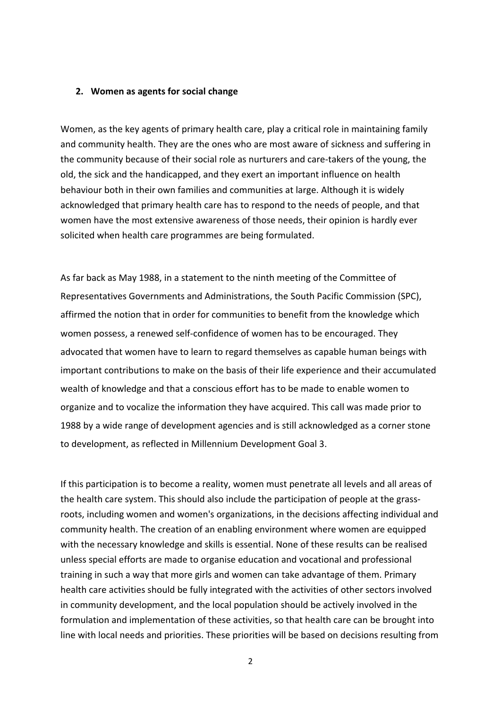#### **2. Women as agents for social change**

Women, as the key agents of primary health care, play a critical role in maintaining family and community health. They are the ones who are most aware of sickness and suffering in the community because of their social role as nurturers and care-takers of the young, the old, the sick and the handicapped, and they exert an important influence on health behaviour both in their own families and communities at large. Although it is widely acknowledged that primary health care has to respond to the needs of people, and that women have the most extensive awareness of those needs, their opinion is hardly ever solicited when health care programmes are being formulated.

As far back as May 1988, in a statement to the ninth meeting of the Committee of Representatives Governments and Administrations, the South Pacific Commission (SPC), affirmed the notion that in order for communities to benefit from the knowledge which women possess, a renewed self-confidence of women has to be encouraged. They advocated that women have to learn to regard themselves as capable human beings with important contributions to make on the basis of their life experience and their accumulated wealth of knowledge and that a conscious effort has to be made to enable women to organize and to vocalize the information they have acquired. This call was made prior to 1988 by a wide range of development agencies and is still acknowledged as a corner stone to development, as reflected in Millennium Development Goal 3.

If this participation is to become a reality, women must penetrate all levels and all areas of the health care system. This should also include the participation of people at the grassroots, including women and women's organizations, in the decisions affecting individual and community health. The creation of an enabling environment where women are equipped with the necessary knowledge and skills is essential. None of these results can be realised unless special efforts are made to organise education and vocational and professional training in such a way that more girls and women can take advantage of them. Primary health care activities should be fully integrated with the activities of other sectors involved in community development, and the local population should be actively involved in the formulation and implementation of these activities, so that health care can be brought into line with local needs and priorities. These priorities will be based on decisions resulting from

2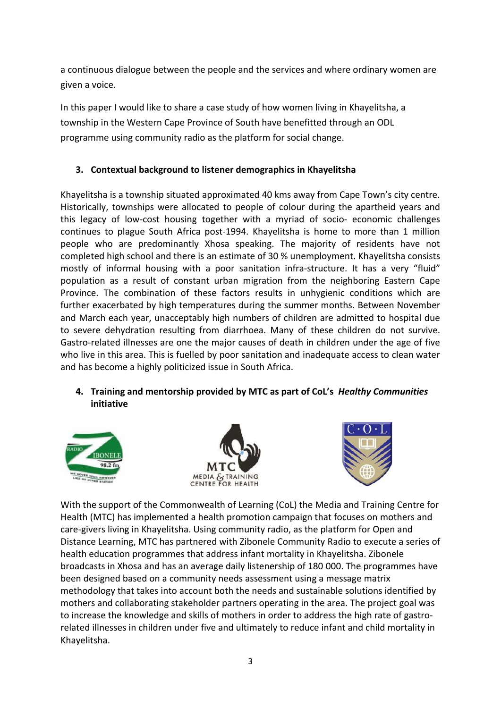a continuous dialogue between the people and the services and where ordinary women are given a voice.

In this paper I would like to share a case study of how women living in Khayelitsha, a township in the Western Cape Province of South have benefitted through an ODL programme using community radio as the platform for social change.

# **3. Contextual background to listener demographics in Khayelitsha**

Khayelitsha is a township situated approximated 40 kms away from Cape Town's city centre. Historically, townships were allocated to people of colour during the apartheid years and this legacy of low-cost housing together with a myriad of socio- economic challenges continues to plague South Africa post-1994. Khayelitsha is home to more than 1 million people who are predominantly Xhosa speaking. The majority of residents have not completed high school and there is an estimate of 30 % unemployment. Khayelitsha consists mostly of informal housing with a poor sanitation infra-structure. It has a very "fluid" population as a result of constant urban migration from the neighboring Eastern Cape Province. The combination of these factors results in unhygienic conditions which are further exacerbated by high temperatures during the summer months. Between November and March each year, unacceptably high numbers of children are admitted to hospital due to severe dehydration resulting from diarrhoea. Many of these children do not survive. Gastro-related illnesses are one the major causes of death in children under the age of five who live in this area. This is fuelled by poor sanitation and inadequate access to clean water and has become a highly politicized issue in South Africa.

# **4. Training and mentorship provided by MTC as part of CoL's** *Healthy Communities* **initiative**







With the support of the Commonwealth of Learning (CoL) the Media and Training Centre for Health (MTC) has implemented a health promotion campaign that focuses on mothers and care-givers living in Khayelitsha. Using community radio, as the platform for Open and Distance Learning, MTC has partnered with Zibonele Community Radio to execute a series of health education programmes that address infant mortality in Khayelitsha. Zibonele broadcasts in Xhosa and has an average daily listenership of 180 000. The programmes have been designed based on a community needs assessment using a message matrix methodology that takes into account both the needs and sustainable solutions identified by mothers and collaborating stakeholder partners operating in the area. The project goal was to increase the knowledge and skills of mothers in order to address the high rate of gastrorelated illnesses in children under five and ultimately to reduce infant and child mortality in Khayelitsha.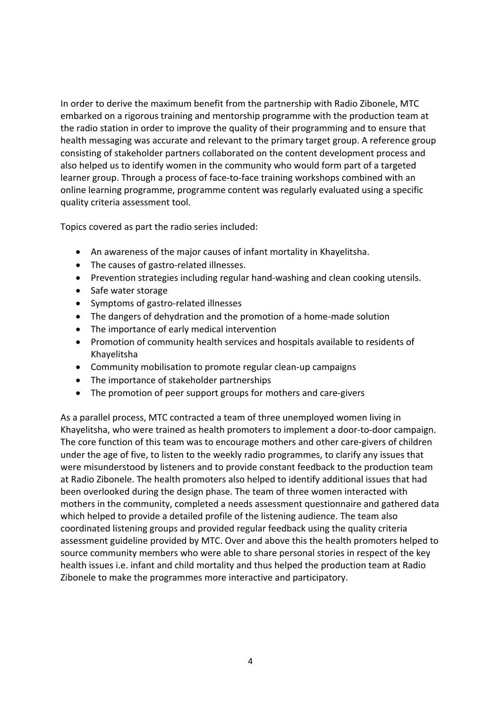In order to derive the maximum benefit from the partnership with Radio Zibonele, MTC embarked on a rigorous training and mentorship programme with the production team at the radio station in order to improve the quality of their programming and to ensure that health messaging was accurate and relevant to the primary target group. A reference group consisting of stakeholder partners collaborated on the content development process and also helped us to identify women in the community who would form part of a targeted learner group. Through a process of face-to-face training workshops combined with an online learning programme, programme content was regularly evaluated using a specific quality criteria assessment tool.

Topics covered as part the radio series included:

- An awareness of the major causes of infant mortality in Khayelitsha.
- The causes of gastro-related illnesses.
- Prevention strategies including regular hand-washing and clean cooking utensils.
- Safe water storage
- ∑ Symptoms of gastro-related illnesses
- The dangers of dehydration and the promotion of a home-made solution
- The importance of early medical intervention
- Promotion of community health services and hospitals available to residents of Khayelitsha
- Community mobilisation to promote regular clean-up campaigns
- The importance of stakeholder partnerships
- The promotion of peer support groups for mothers and care-givers

As a parallel process, MTC contracted a team of three unemployed women living in Khayelitsha, who were trained as health promoters to implement a door-to-door campaign. The core function of this team was to encourage mothers and other care-givers of children under the age of five, to listen to the weekly radio programmes, to clarify any issues that were misunderstood by listeners and to provide constant feedback to the production team at Radio Zibonele. The health promoters also helped to identify additional issues that had been overlooked during the design phase. The team of three women interacted with mothers in the community, completed a needs assessment questionnaire and gathered data which helped to provide a detailed profile of the listening audience. The team also coordinated listening groups and provided regular feedback using the quality criteria assessment guideline provided by MTC. Over and above this the health promoters helped to source community members who were able to share personal stories in respect of the key health issues i.e. infant and child mortality and thus helped the production team at Radio Zibonele to make the programmes more interactive and participatory.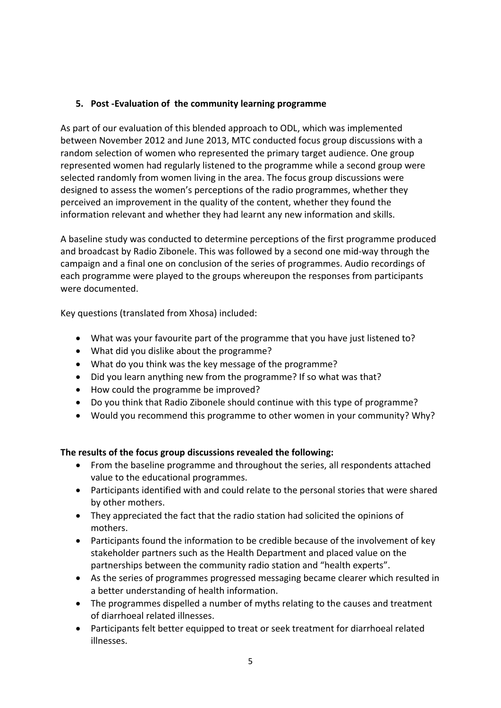# **5. Post -Evaluation of the community learning programme**

As part of our evaluation of this blended approach to ODL, which was implemented between November 2012 and June 2013, MTC conducted focus group discussions with a random selection of women who represented the primary target audience. One group represented women had regularly listened to the programme while a second group were selected randomly from women living in the area. The focus group discussions were designed to assess the women's perceptions of the radio programmes, whether they perceived an improvement in the quality of the content, whether they found the information relevant and whether they had learnt any new information and skills.

A baseline study was conducted to determine perceptions of the first programme produced and broadcast by Radio Zibonele. This was followed by a second one mid-way through the campaign and a final one on conclusion of the series of programmes. Audio recordings of each programme were played to the groups whereupon the responses from participants were documented.

Key questions (translated from Xhosa) included:

- What was your favourite part of the programme that you have just listened to?
- What did you dislike about the programme?
- What do you think was the key message of the programme?
- Did you learn anything new from the programme? If so what was that?
- How could the programme be improved?
- Do you think that Radio Zibonele should continue with this type of programme?
- Would you recommend this programme to other women in your community? Why?

# **The results of the focus group discussions revealed the following:**

- From the baseline programme and throughout the series, all respondents attached value to the educational programmes.
- Participants identified with and could relate to the personal stories that were shared by other mothers.
- They appreciated the fact that the radio station had solicited the opinions of mothers.
- Participants found the information to be credible because of the involvement of key stakeholder partners such as the Health Department and placed value on the partnerships between the community radio station and "health experts".
- As the series of programmes progressed messaging became clearer which resulted in a better understanding of health information.
- The programmes dispelled a number of myths relating to the causes and treatment of diarrhoeal related illnesses.
- Participants felt better equipped to treat or seek treatment for diarrhoeal related illnesses.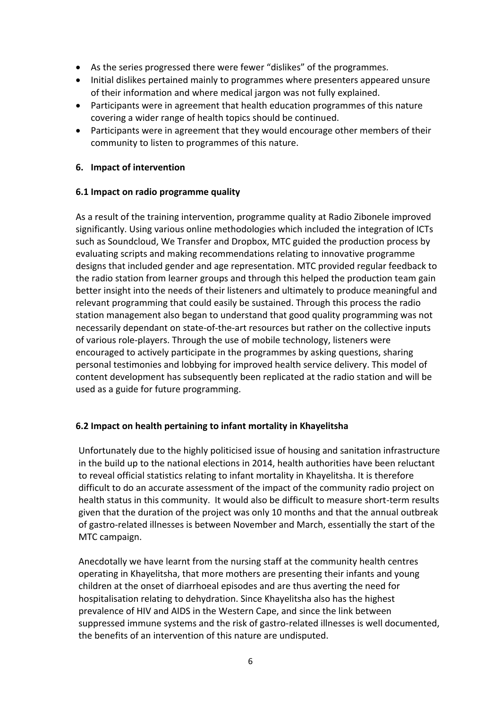- As the series progressed there were fewer "dislikes" of the programmes.
- ∑ Initial dislikes pertained mainly to programmes where presenters appeared unsure of their information and where medical jargon was not fully explained.
- Participants were in agreement that health education programmes of this nature covering a wider range of health topics should be continued.
- Participants were in agreement that they would encourage other members of their community to listen to programmes of this nature.

# **6. Impact of intervention**

# **6.1 Impact on radio programme quality**

As a result of the training intervention, programme quality at Radio Zibonele improved significantly. Using various online methodologies which included the integration of ICTs such as Soundcloud, We Transfer and Dropbox, MTC guided the production process by evaluating scripts and making recommendations relating to innovative programme designs that included gender and age representation. MTC provided regular feedback to the radio station from learner groups and through this helped the production team gain better insight into the needs of their listeners and ultimately to produce meaningful and relevant programming that could easily be sustained. Through this process the radio station management also began to understand that good quality programming was not necessarily dependant on state-of-the-art resources but rather on the collective inputs of various role-players. Through the use of mobile technology, listeners were encouraged to actively participate in the programmes by asking questions, sharing personal testimonies and lobbying for improved health service delivery. This model of content development has subsequently been replicated at the radio station and will be used as a guide for future programming.

# **6.2 Impact on health pertaining to infant mortality in Khayelitsha**

Unfortunately due to the highly politicised issue of housing and sanitation infrastructure in the build up to the national elections in 2014, health authorities have been reluctant to reveal official statistics relating to infant mortality in Khayelitsha. It is therefore difficult to do an accurate assessment of the impact of the community radio project on health status in this community. It would also be difficult to measure short-term results given that the duration of the project was only 10 months and that the annual outbreak of gastro-related illnesses is between November and March, essentially the start of the MTC campaign.

Anecdotally we have learnt from the nursing staff at the community health centres operating in Khayelitsha, that more mothers are presenting their infants and young children at the onset of diarrhoeal episodes and are thus averting the need for hospitalisation relating to dehydration. Since Khayelitsha also has the highest prevalence of HIV and AIDS in the Western Cape, and since the link between suppressed immune systems and the risk of gastro-related illnesses is well documented, the benefits of an intervention of this nature are undisputed.